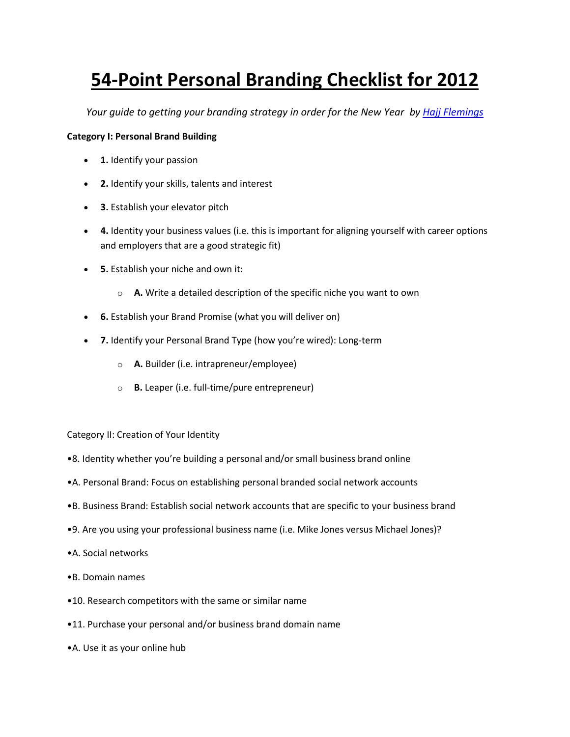## **54-Point Personal Branding Checklist for 2012**

*Your guide to getting your branding strategy in order for the New Year by Hajj [Flemings](http://www.blackenterprise.com/author/hajjflemings/)*

## **Category I: Personal Brand Building**

- **1.** Identify your passion
- **2.** Identify your skills, talents and interest
- **3.** Establish your elevator pitch
- **4.** Identity your business values (i.e. this is important for aligning yourself with career options and employers that are a good strategic fit)
- **5.** Establish your niche and own it:
	- o **A.** Write a detailed description of the specific niche you want to own
- **6.** Establish your Brand Promise (what you will deliver on)
- **7.** Identify your Personal Brand Type (how you're wired): Long-term
	- o **A.** Builder (i.e. intrapreneur/employee)
	- o **B.** Leaper (i.e. full-time/pure entrepreneur)

Category II: Creation of Your Identity

- •8. Identity whether you're building a personal and/or small business brand online
- •A. Personal Brand: Focus on establishing personal branded social network accounts
- •B. Business Brand: Establish social network accounts that are specific to your business brand
- •9. Are you using your professional business name (i.e. Mike Jones versus Michael Jones)?
- •A. Social networks
- •B. Domain names
- •10. Research competitors with the same or similar name
- •11. Purchase your personal and/or business brand domain name
- •A. Use it as your online hub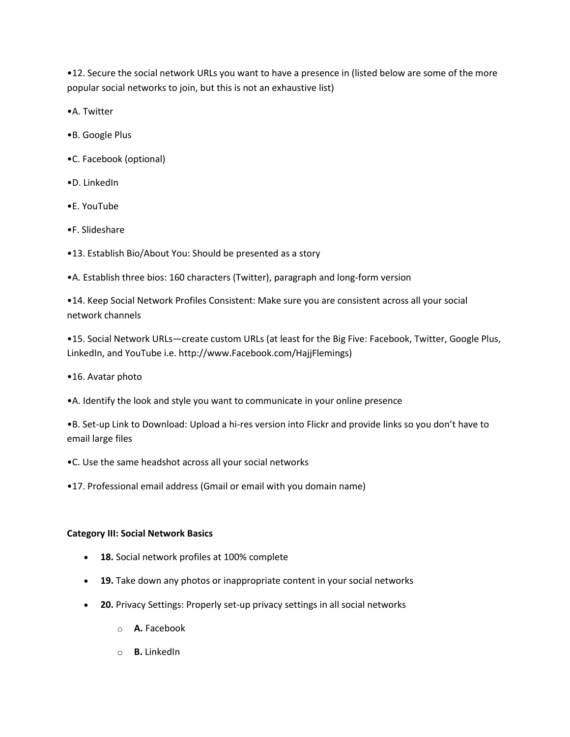•12. Secure the social network URLs you want to have a presence in (listed below are some of the more popular social networks to join, but this is not an exhaustive list)

•A. Twitter

- •B. Google Plus
- •C. Facebook (optional)
- •D. LinkedIn
- •E. YouTube
- •F. Slideshare
- •13. Establish Bio/About You: Should be presented as a story

•A. Establish three bios: 160 characters (Twitter), paragraph and long-form version

•14. Keep Social Network Profiles Consistent: Make sure you are consistent across all your social network channels

•15. Social Network URLs—create custom URLs (at least for the Big Five: Facebook, Twitter, Google Plus, LinkedIn, and YouTube i.e. http://www.Facebook.com/HajjFlemings)

•16. Avatar photo

•A. Identify the look and style you want to communicate in your online presence

•B. Set-up Link to Download: Upload a hi-res version into Flickr and provide links so you don't have to email large files

•C. Use the same headshot across all your social networks

•17. Professional email address (Gmail or email with you domain name)

## **Category III: Social Network Basics**

- **18.** Social network profiles at 100% complete
- **19.** Take down any photos or inappropriate content in your social networks
- **20.** Privacy Settings: Properly set-up privacy settings in all social networks
	- o **A.** Facebook
	- o **B.** LinkedIn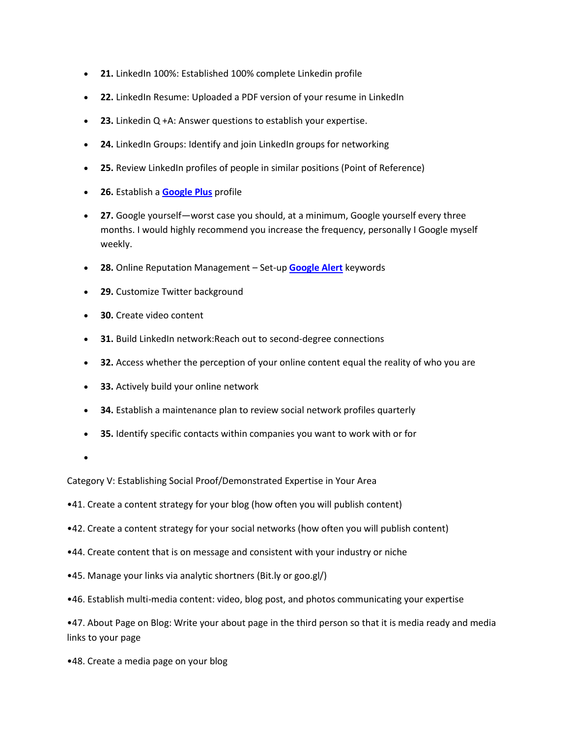- **21.** LinkedIn 100%: Established 100% complete Linkedin profile
- **22.** LinkedIn Resume: Uploaded a PDF version of your resume in LinkedIn
- **23.** Linkedin Q +A: Answer questions to establish your expertise.
- **24.** LinkedIn Groups: Identify and join LinkedIn groups for networking
- **25.** Review LinkedIn profiles of people in similar positions (Point of Reference)
- **26.** Establish a **[Google Plus](https://plus.google.com/up/?type=st&continue=https://plus.google.com/)** profile
- **27.** Google yourself—worst case you should, at a minimum, Google yourself every three months. I would highly recommend you increase the frequency, personally I Google myself weekly.
- **28.** Online Reputation Management Set-up **[Google Alert](http://www.google.com/alerts)** keywords
- **29.** Customize Twitter background
- **30.** Create video content
- **31.** Build LinkedIn network:Reach out to second-degree connections
- **32.** Access whether the perception of your online content equal the reality of who you are
- **33.** Actively build your online network
- **34.** Establish a maintenance plan to review social network profiles quarterly
- **35.** Identify specific contacts within companies you want to work with or for
- $\bullet$

Category V: Establishing Social Proof/Demonstrated Expertise in Your Area

- •41. Create a content strategy for your blog (how often you will publish content)
- •42. Create a content strategy for your social networks (how often you will publish content)
- •44. Create content that is on message and consistent with your industry or niche
- •45. Manage your links via analytic shortners (Bit.ly or goo.gl/)
- •46. Establish multi-media content: video, blog post, and photos communicating your expertise

•47. About Page on Blog: Write your about page in the third person so that it is media ready and media links to your page

•48. Create a media page on your blog